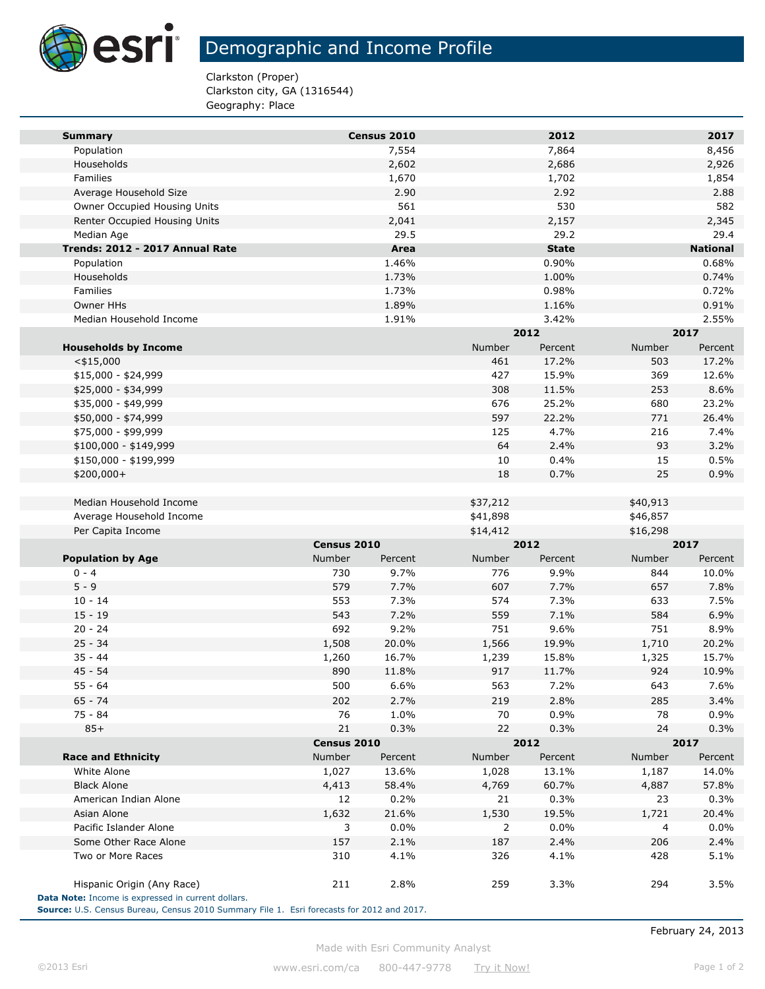

## Demographic and Income Profile

Clarkston (Proper) Clarkston city, GA (1316544) Geography: Place

| <b>Summary</b>                  |             | Census 2010 |               | 2012         |          | 2017            |  |
|---------------------------------|-------------|-------------|---------------|--------------|----------|-----------------|--|
| Population                      |             | 7,554       |               | 7,864        |          | 8,456           |  |
| Households                      |             | 2,602       |               | 2,686        |          | 2,926           |  |
| Families                        |             | 1,670       |               | 1,702        |          | 1,854           |  |
| Average Household Size          |             | 2.90        |               | 2.92         |          | 2.88            |  |
| Owner Occupied Housing Units    |             | 561         |               | 530          |          | 582             |  |
| Renter Occupied Housing Units   |             | 2,041       |               | 2,157        |          | 2,345           |  |
| Median Age                      |             | 29.5        |               | 29.2         |          | 29.4            |  |
| Trends: 2012 - 2017 Annual Rate |             | Area        |               | <b>State</b> |          | <b>National</b> |  |
| Population                      |             | 1.46%       |               | 0.90%        |          | 0.68%           |  |
| Households                      |             | 1.73%       |               | 1.00%        |          | 0.74%           |  |
| Families                        |             | 1.73%       |               | 0.98%        |          | 0.72%           |  |
| Owner HHs                       |             | 1.89%       |               | 1.16%        |          | 0.91%           |  |
| Median Household Income         |             | 1.91%       |               | 3.42%        |          | 2.55%           |  |
|                                 |             |             |               | 2012         |          | 2017            |  |
| <b>Households by Income</b>     |             |             | <b>Number</b> | Percent      | Number   | Percent         |  |
| $<$ \$15,000                    |             |             | 461           | 17.2%        | 503      | 17.2%           |  |
| \$15,000 - \$24,999             |             |             | 427           | 15.9%        | 369      | 12.6%           |  |
| \$25,000 - \$34,999             |             |             | 308           | 11.5%        | 253      | 8.6%            |  |
| \$35,000 - \$49,999             |             |             | 676           | 25.2%        | 680      | 23.2%           |  |
| \$50,000 - \$74,999             |             |             | 597           | 22.2%        | 771      | 26.4%           |  |
| \$75,000 - \$99,999             |             |             | 125           | 4.7%         | 216      | 7.4%            |  |
| $$100,000 - $149,999$           |             |             | 64            | 2.4%         | 93       | 3.2%            |  |
| \$150,000 - \$199,999           |             |             | 10            | 0.4%         | 15       | 0.5%            |  |
| $$200,000+$                     |             |             | 18            | 0.7%         | 25       | 0.9%            |  |
|                                 |             |             |               |              |          |                 |  |
| Median Household Income         |             |             | \$37,212      |              | \$40,913 |                 |  |
| Average Household Income        |             |             | \$41,898      |              | \$46,857 |                 |  |
| Per Capita Income               |             |             | \$14,412      |              | \$16,298 |                 |  |
|                                 | Census 2010 |             | 2012          |              | 2017     |                 |  |
| <b>Population by Age</b>        | Number      | Percent     | Number        | Percent      | Number   | Percent         |  |
| $0 - 4$                         | 730         | 9.7%        | 776           | 9.9%         | 844      | 10.0%           |  |
| $5 - 9$                         | 579         | 7.7%        | 607           | 7.7%         | 657      | 7.8%            |  |
| $10 - 14$                       | 553         | 7.3%        | 574           | 7.3%         | 633      | 7.5%            |  |
| $15 - 19$                       | 543         | 7.2%        | 559           | 7.1%         | 584      | 6.9%            |  |
| $20 - 24$                       | 692         | 9.2%        | 751           | 9.6%         | 751      | 8.9%            |  |
| $25 - 34$                       | 1,508       | 20.0%       | 1,566         | 19.9%        | 1,710    | 20.2%           |  |
| $35 - 44$                       | 1,260       | 16.7%       | 1,239         | 15.8%        | 1,325    | 15.7%           |  |
| $45 - 54$                       | 890         | 11.8%       | 917           | 11.7%        | 924      | 10.9%           |  |
| $55 - 64$                       | 500         | 6.6%        | 563           | 7.2%         | 643      | 7.6%            |  |
| 65 - 74                         | 202         | 2.7%        | 219           | 2.8%         | 285      | 3.4%            |  |
| 75 - 84                         | 76          | 1.0%        | 70            | 0.9%         | 78       | 0.9%            |  |
| $85+$                           | 21          | 0.3%        | 22            | 0.3%         | 24       | 0.3%            |  |
|                                 | Census 2010 |             |               | 2012         |          | 2017            |  |
| <b>Race and Ethnicity</b>       | Number      | Percent     | Number        | Percent      | Number   | Percent         |  |
| White Alone                     | 1,027       | 13.6%       | 1,028         | 13.1%        | 1,187    | 14.0%           |  |
| <b>Black Alone</b>              | 4,413       | 58.4%       | 4,769         | 60.7%        | 4,887    | 57.8%           |  |
| American Indian Alone           | 12          | 0.2%        | 21            | 0.3%         | 23       | 0.3%            |  |
| Asian Alone                     | 1,632       | 21.6%       | 1,530         | 19.5%        | 1,721    | 20.4%           |  |
| Pacific Islander Alone          | 3           | 0.0%        | 2             | 0.0%         | 4        | 0.0%            |  |
|                                 | 157         | 2.1%        | 187           | 2.4%         | 206      | 2.4%            |  |
| Some Other Race Alone           |             |             | 326           | 4.1%         | 428      | 5.1%            |  |
| Two or More Races               | 310         | 4.1%        |               |              |          |                 |  |

Made with Esri Community Analyst